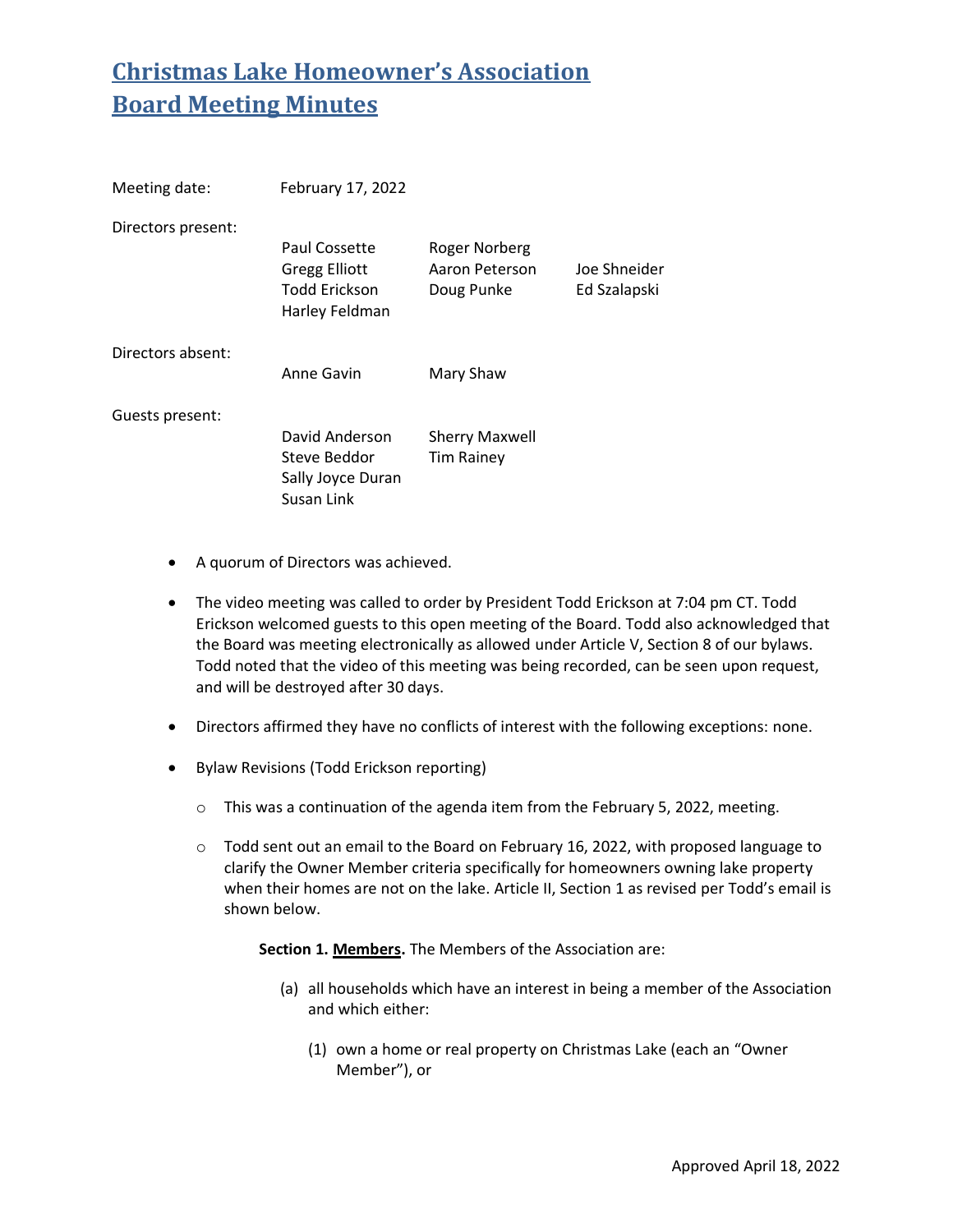| Meeting date:      | February 17, 2022                                                               |                                                      |                              |
|--------------------|---------------------------------------------------------------------------------|------------------------------------------------------|------------------------------|
| Directors present: | Paul Cossette<br><b>Gregg Elliott</b><br><b>Todd Erickson</b><br>Harley Feldman | <b>Roger Norberg</b><br>Aaron Peterson<br>Doug Punke | Joe Shneider<br>Ed Szalapski |
| Directors absent:  | Anne Gavin                                                                      | Mary Shaw                                            |                              |
| Guests present:    | David Anderson<br>Steve Beddor<br>Sally Joyce Duran<br>Susan Link               | <b>Sherry Maxwell</b><br>Tim Rainey                  |                              |

- A quorum of Directors was achieved.
- The video meeting was called to order by President Todd Erickson at 7:04 pm CT. Todd Erickson welcomed guests to this open meeting of the Board. Todd also acknowledged that the Board was meeting electronically as allowed under Article V, Section 8 of our bylaws. Todd noted that the video of this meeting was being recorded, can be seen upon request, and will be destroyed after 30 days.
- Directors affirmed they have no conflicts of interest with the following exceptions: none.
- Bylaw Revisions (Todd Erickson reporting)
	- o This was a continuation of the agenda item from the February 5, 2022, meeting.
	- $\circ$  Todd sent out an email to the Board on February 16, 2022, with proposed language to clarify the Owner Member criteria specifically for homeowners owning lake property when their homes are not on the lake. Article II, Section 1 as revised per Todd's email is shown below.

**Section 1. Members.** The Members of the Association are:

- (a) all households which have an interest in being a member of the Association and which either:
	- (1) own a home or real property on Christmas Lake (each an "Owner Member"), or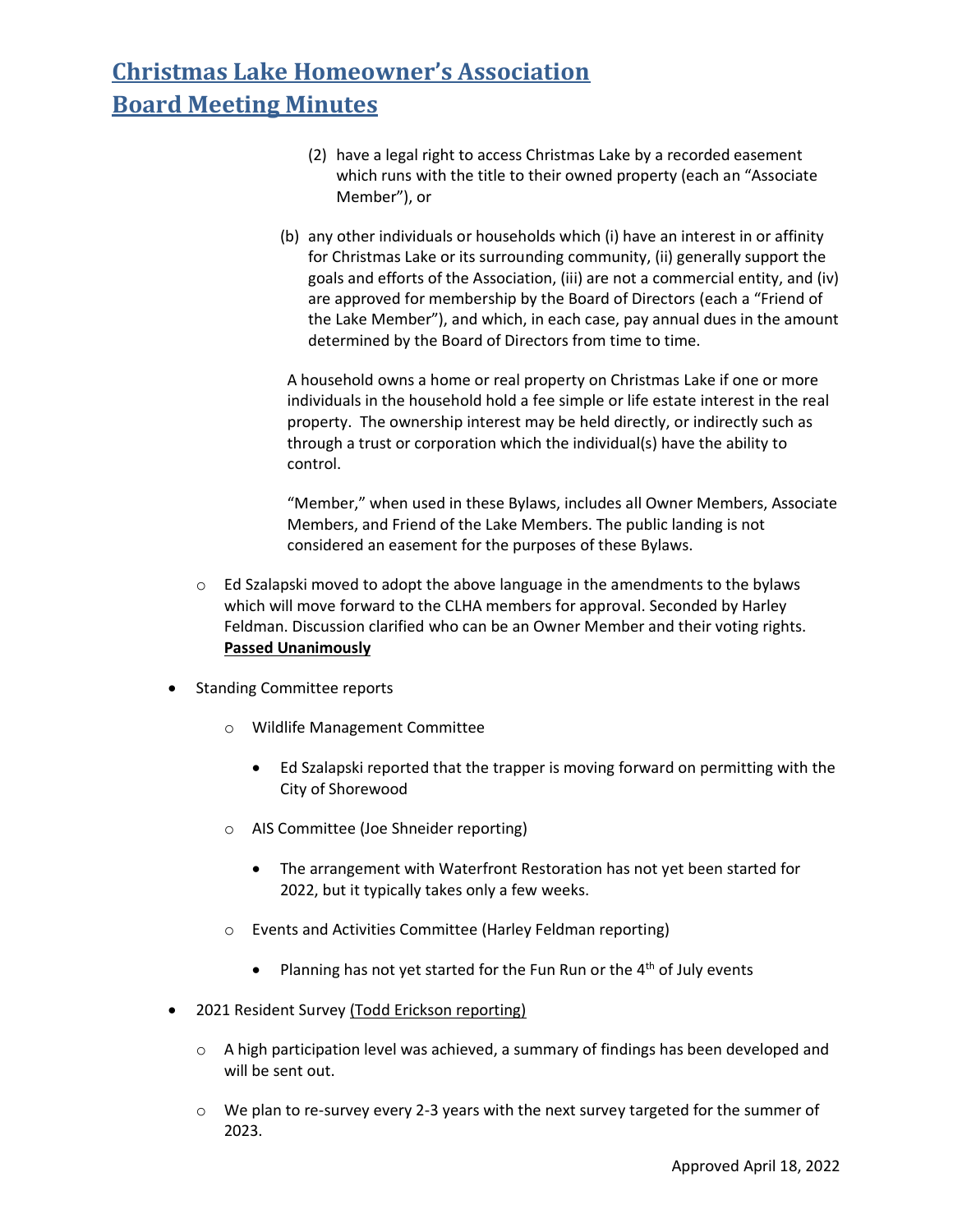- (2) have a legal right to access Christmas Lake by a recorded easement which runs with the title to their owned property (each an "Associate Member"), or
- (b) any other individuals or households which (i) have an interest in or affinity for Christmas Lake or its surrounding community, (ii) generally support the goals and efforts of the Association, (iii) are not a commercial entity, and (iv) are approved for membership by the Board of Directors (each a "Friend of the Lake Member"), and which, in each case, pay annual dues in the amount determined by the Board of Directors from time to time.

A household owns a home or real property on Christmas Lake if one or more individuals in the household hold a fee simple or life estate interest in the real property. The ownership interest may be held directly, or indirectly such as through a trust or corporation which the individual(s) have the ability to control.

"Member," when used in these Bylaws, includes all Owner Members, Associate Members, and Friend of the Lake Members. The public landing is not considered an easement for the purposes of these Bylaws.

- $\circ$  Ed Szalapski moved to adopt the above language in the amendments to the bylaws which will move forward to the CLHA members for approval. Seconded by Harley Feldman. Discussion clarified who can be an Owner Member and their voting rights. **Passed Unanimously**
- Standing Committee reports
	- o Wildlife Management Committee
		- Ed Szalapski reported that the trapper is moving forward on permitting with the City of Shorewood
	- o AIS Committee (Joe Shneider reporting)
		- The arrangement with Waterfront Restoration has not yet been started for 2022, but it typically takes only a few weeks.
	- o Events and Activities Committee (Harley Feldman reporting)
		- Planning has not yet started for the Fun Run or the  $4<sup>th</sup>$  of July events
- 2021 Resident Survey (Todd Erickson reporting)
	- $\circ$  A high participation level was achieved, a summary of findings has been developed and will be sent out.
	- $\circ$  We plan to re-survey every 2-3 years with the next survey targeted for the summer of 2023.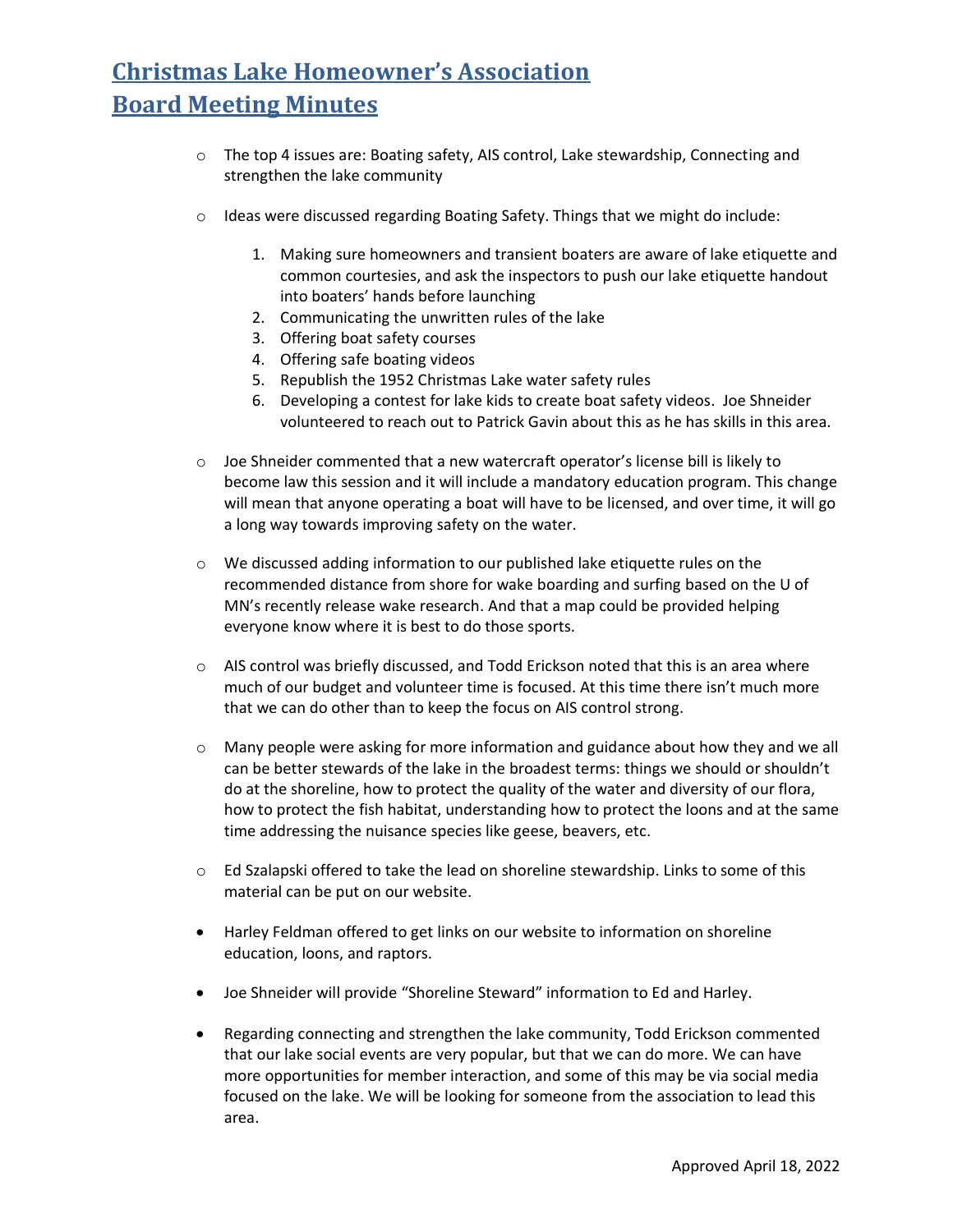- o The top 4 issues are: Boating safety, AIS control, Lake stewardship, Connecting and strengthen the lake community
- $\circ$  Ideas were discussed regarding Boating Safety. Things that we might do include:
	- 1. Making sure homeowners and transient boaters are aware of lake etiquette and common courtesies, and ask the inspectors to push our lake etiquette handout into boaters' hands before launching
	- 2. Communicating the unwritten rules of the lake
	- 3. Offering boat safety courses
	- 4. Offering safe boating videos
	- 5. Republish the 1952 Christmas Lake water safety rules
	- 6. Developing a contest for lake kids to create boat safety videos. Joe Shneider volunteered to reach out to Patrick Gavin about this as he has skills in this area.
- $\circ$  Joe Shneider commented that a new watercraft operator's license bill is likely to become law this session and it will include a mandatory education program. This change will mean that anyone operating a boat will have to be licensed, and over time, it will go a long way towards improving safety on the water.
- o We discussed adding information to our published lake etiquette rules on the recommended distance from shore for wake boarding and surfing based on the U of MN's recently release wake research. And that a map could be provided helping everyone know where it is best to do those sports.
- $\circ$  AIS control was briefly discussed, and Todd Erickson noted that this is an area where much of our budget and volunteer time is focused. At this time there isn't much more that we can do other than to keep the focus on AIS control strong.
- $\circ$  Many people were asking for more information and guidance about how they and we all can be better stewards of the lake in the broadest terms: things we should or shouldn't do at the shoreline, how to protect the quality of the water and diversity of our flora, how to protect the fish habitat, understanding how to protect the loons and at the same time addressing the nuisance species like geese, beavers, etc.
- o Ed Szalapski offered to take the lead on shoreline stewardship. Links to some of this material can be put on our website.
- Harley Feldman offered to get links on our website to information on shoreline education, loons, and raptors.
- Joe Shneider will provide "Shoreline Steward" information to Ed and Harley.
- Regarding connecting and strengthen the lake community, Todd Erickson commented that our lake social events are very popular, but that we can do more. We can have more opportunities for member interaction, and some of this may be via social media focused on the lake. We will be looking for someone from the association to lead this area.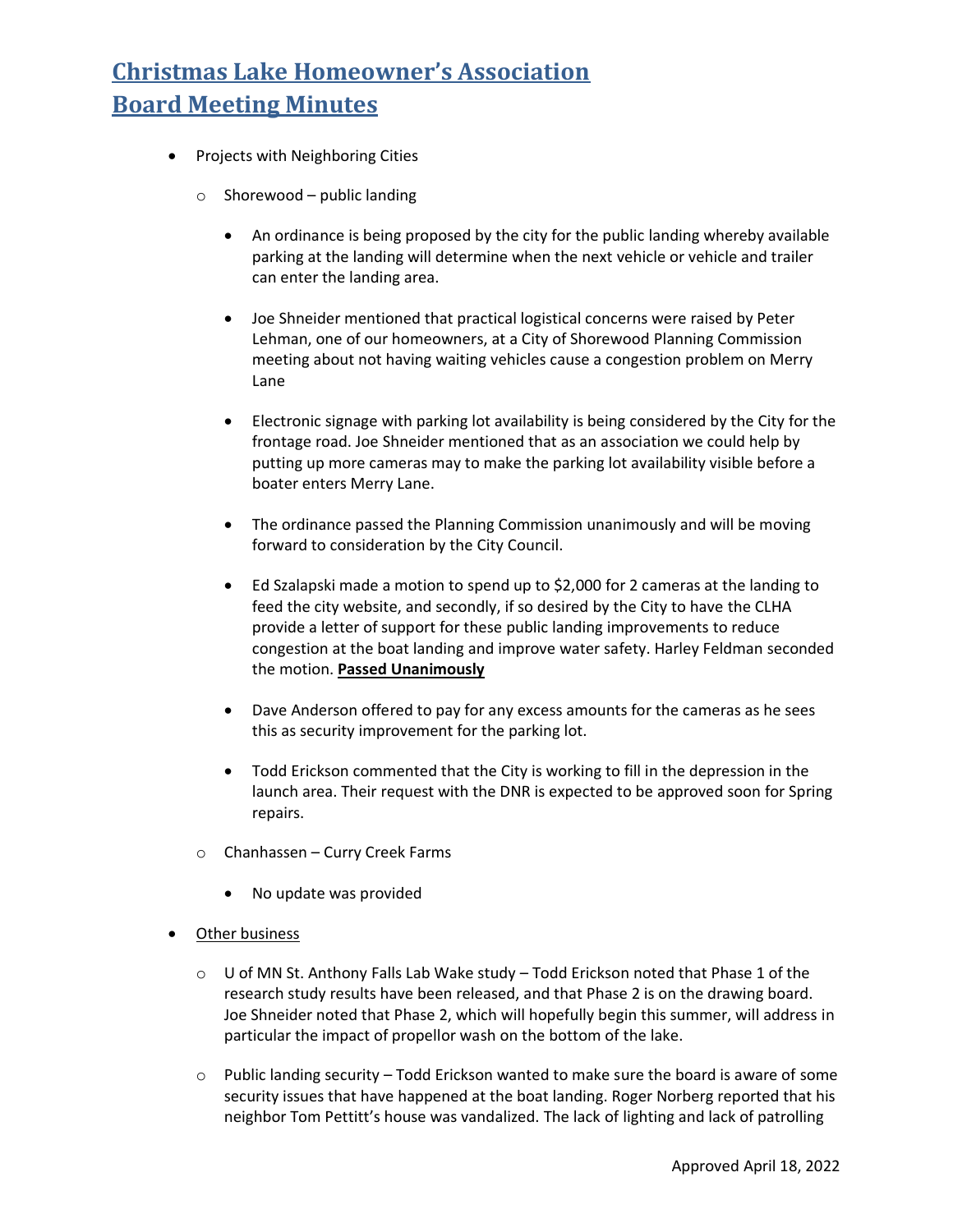- Projects with Neighboring Cities
	- $\circ$  Shorewood public landing
		- An ordinance is being proposed by the city for the public landing whereby available parking at the landing will determine when the next vehicle or vehicle and trailer can enter the landing area.
		- Joe Shneider mentioned that practical logistical concerns were raised by Peter Lehman, one of our homeowners, at a City of Shorewood Planning Commission meeting about not having waiting vehicles cause a congestion problem on Merry Lane
		- Electronic signage with parking lot availability is being considered by the City for the frontage road. Joe Shneider mentioned that as an association we could help by putting up more cameras may to make the parking lot availability visible before a boater enters Merry Lane.
		- The ordinance passed the Planning Commission unanimously and will be moving forward to consideration by the City Council.
		- Ed Szalapski made a motion to spend up to \$2,000 for 2 cameras at the landing to feed the city website, and secondly, if so desired by the City to have the CLHA provide a letter of support for these public landing improvements to reduce congestion at the boat landing and improve water safety. Harley Feldman seconded the motion. **Passed Unanimously**
		- Dave Anderson offered to pay for any excess amounts for the cameras as he sees this as security improvement for the parking lot.
		- Todd Erickson commented that the City is working to fill in the depression in the launch area. Their request with the DNR is expected to be approved soon for Spring repairs.
	- o Chanhassen Curry Creek Farms
		- No update was provided
- **Other business** 
	- $\circ$  U of MN St. Anthony Falls Lab Wake study Todd Erickson noted that Phase 1 of the research study results have been released, and that Phase 2 is on the drawing board. Joe Shneider noted that Phase 2, which will hopefully begin this summer, will address in particular the impact of propellor wash on the bottom of the lake.
	- $\circ$  Public landing security Todd Erickson wanted to make sure the board is aware of some security issues that have happened at the boat landing. Roger Norberg reported that his neighbor Tom Pettitt's house was vandalized. The lack of lighting and lack of patrolling